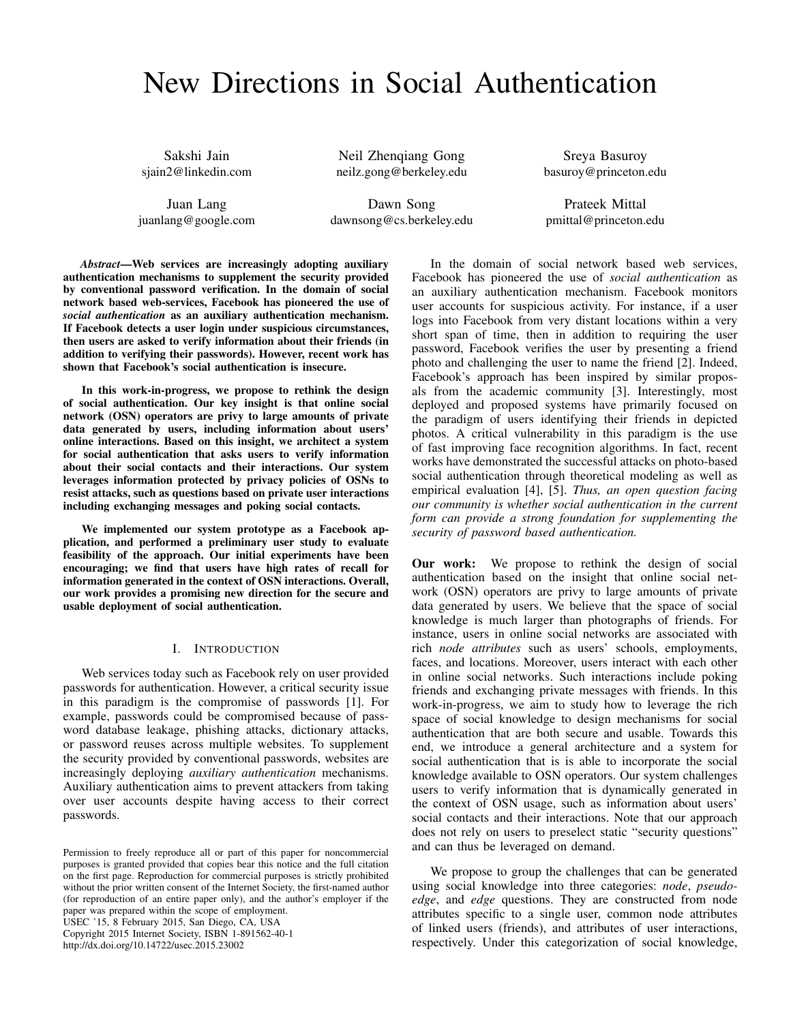# New Directions in Social Authentication

Sakshi Jain sjain2@linkedin.com

Juan Lang juanlang@google.com

Neil Zhenqiang Gong neilz.gong@berkeley.edu

Dawn Song dawnsong@cs.berkeley.edu

Sreya Basuroy basuroy@princeton.edu

Prateek Mittal pmittal@princeton.edu

*Abstract*—Web services are increasingly adopting auxiliary authentication mechanisms to supplement the security provided by conventional password verification. In the domain of social network based web-services, Facebook has pioneered the use of *social authentication* as an auxiliary authentication mechanism. If Facebook detects a user login under suspicious circumstances, then users are asked to verify information about their friends (in addition to verifying their passwords). However, recent work has shown that Facebook's social authentication is insecure.

In this work-in-progress, we propose to rethink the design of social authentication. Our key insight is that online social network (OSN) operators are privy to large amounts of private data generated by users, including information about users' online interactions. Based on this insight, we architect a system for social authentication that asks users to verify information about their social contacts and their interactions. Our system leverages information protected by privacy policies of OSNs to resist attacks, such as questions based on private user interactions including exchanging messages and poking social contacts.

We implemented our system prototype as a Facebook application, and performed a preliminary user study to evaluate feasibility of the approach. Our initial experiments have been encouraging; we find that users have high rates of recall for information generated in the context of OSN interactions. Overall, our work provides a promising new direction for the secure and usable deployment of social authentication.

#### I. INTRODUCTION

Web services today such as Facebook rely on user provided passwords for authentication. However, a critical security issue in this paradigm is the compromise of passwords [1]. For example, passwords could be compromised because of password database leakage, phishing attacks, dictionary attacks, or password reuses across multiple websites. To supplement the security provided by conventional passwords, websites are increasingly deploying *auxiliary authentication* mechanisms. Auxiliary authentication aims to prevent attackers from taking over user accounts despite having access to their correct passwords.

USEC '15, 8 February 2015, San Diego, CA, USA

Copyright 2015 Internet Society, ISBN 1-891562-40-1

http://dx.doi.org/10.14722/usec.2015.23002

In the domain of social network based web services, Facebook has pioneered the use of *social authentication* as an auxiliary authentication mechanism. Facebook monitors user accounts for suspicious activity. For instance, if a user logs into Facebook from very distant locations within a very short span of time, then in addition to requiring the user password, Facebook verifies the user by presenting a friend photo and challenging the user to name the friend [2]. Indeed, Facebook's approach has been inspired by similar proposals from the academic community [3]. Interestingly, most deployed and proposed systems have primarily focused on the paradigm of users identifying their friends in depicted photos. A critical vulnerability in this paradigm is the use of fast improving face recognition algorithms. In fact, recent works have demonstrated the successful attacks on photo-based social authentication through theoretical modeling as well as empirical evaluation [4], [5]. *Thus, an open question facing our community is whether social authentication in the current form can provide a strong foundation for supplementing the security of password based authentication.*

Our work: We propose to rethink the design of social authentication based on the insight that online social network (OSN) operators are privy to large amounts of private data generated by users. We believe that the space of social knowledge is much larger than photographs of friends. For instance, users in online social networks are associated with rich *node attributes* such as users' schools, employments, faces, and locations. Moreover, users interact with each other in online social networks. Such interactions include poking friends and exchanging private messages with friends. In this work-in-progress, we aim to study how to leverage the rich space of social knowledge to design mechanisms for social authentication that are both secure and usable. Towards this end, we introduce a general architecture and a system for social authentication that is is able to incorporate the social knowledge available to OSN operators. Our system challenges users to verify information that is dynamically generated in the context of OSN usage, such as information about users' social contacts and their interactions. Note that our approach does not rely on users to preselect static "security questions" and can thus be leveraged on demand.

We propose to group the challenges that can be generated using social knowledge into three categories: *node*, *pseudoedge*, and *edge* questions. They are constructed from node attributes specific to a single user, common node attributes of linked users (friends), and attributes of user interactions, respectively. Under this categorization of social knowledge,

Permission to freely reproduce all or part of this paper for noncommercial purposes is granted provided that copies bear this notice and the full citation on the first page. Reproduction for commercial purposes is strictly prohibited without the prior written consent of the Internet Society, the first-named author (for reproduction of an entire paper only), and the author's employer if the paper was prepared within the scope of employment.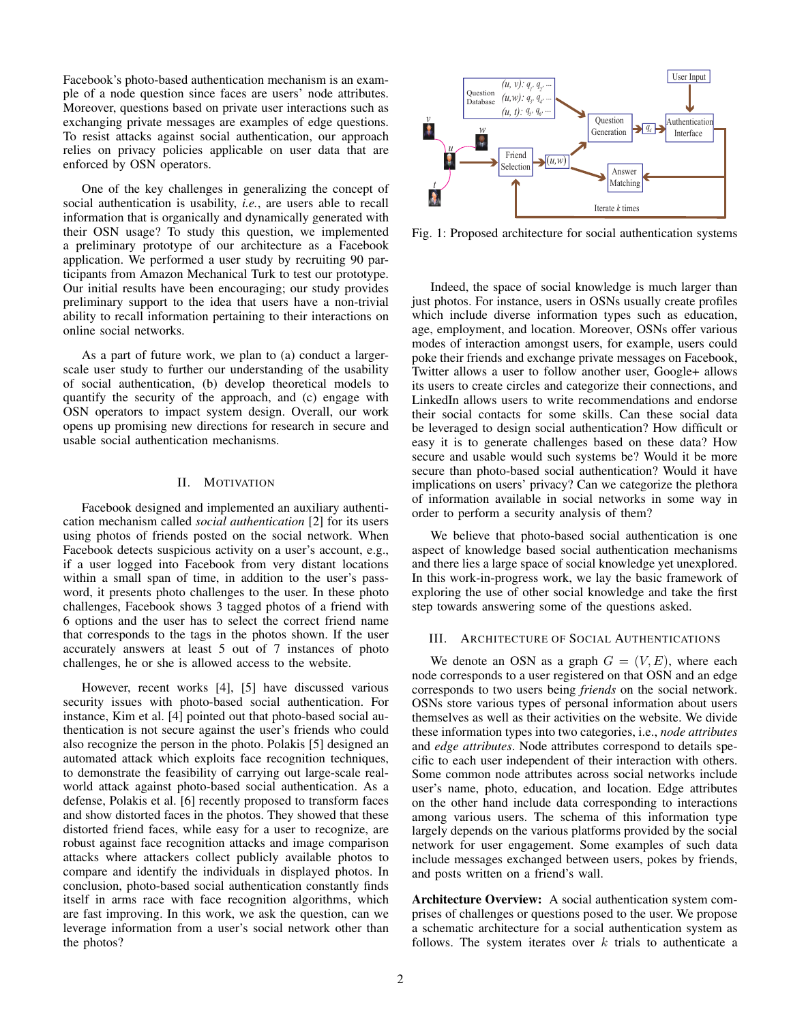Facebook's photo-based authentication mechanism is an example of a node question since faces are users' node attributes. Moreover, questions based on private user interactions such as exchanging private messages are examples of edge questions. To resist attacks against social authentication, our approach relies on privacy policies applicable on user data that are enforced by OSN operators.

One of the key challenges in generalizing the concept of social authentication is usability, *i.e.*, are users able to recall information that is organically and dynamically generated with their OSN usage? To study this question, we implemented a preliminary prototype of our architecture as a Facebook application. We performed a user study by recruiting 90 participants from Amazon Mechanical Turk to test our prototype. Our initial results have been encouraging; our study provides preliminary support to the idea that users have a non-trivial ability to recall information pertaining to their interactions on online social networks.

As a part of future work, we plan to (a) conduct a largerscale user study to further our understanding of the usability of social authentication, (b) develop theoretical models to quantify the security of the approach, and (c) engage with OSN operators to impact system design. Overall, our work opens up promising new directions for research in secure and usable social authentication mechanisms.

# II. MOTIVATION

Facebook designed and implemented an auxiliary authentication mechanism called *social authentication* [2] for its users using photos of friends posted on the social network. When Facebook detects suspicious activity on a user's account, e.g., if a user logged into Facebook from very distant locations within a small span of time, in addition to the user's password, it presents photo challenges to the user. In these photo challenges, Facebook shows 3 tagged photos of a friend with 6 options and the user has to select the correct friend name that corresponds to the tags in the photos shown. If the user accurately answers at least 5 out of 7 instances of photo challenges, he or she is allowed access to the website.

However, recent works [4], [5] have discussed various security issues with photo-based social authentication. For instance, Kim et al. [4] pointed out that photo-based social authentication is not secure against the user's friends who could also recognize the person in the photo. Polakis [5] designed an automated attack which exploits face recognition techniques, to demonstrate the feasibility of carrying out large-scale realworld attack against photo-based social authentication. As a defense, Polakis et al. [6] recently proposed to transform faces and show distorted faces in the photos. They showed that these distorted friend faces, while easy for a user to recognize, are robust against face recognition attacks and image comparison attacks where attackers collect publicly available photos to compare and identify the individuals in displayed photos. In conclusion, photo-based social authentication constantly finds itself in arms race with face recognition algorithms, which are fast improving. In this work, we ask the question, can we leverage information from a user's social network other than the photos?



Fig. 1: Proposed architecture for social authentication systems

Indeed, the space of social knowledge is much larger than just photos. For instance, users in OSNs usually create profiles which include diverse information types such as education, age, employment, and location. Moreover, OSNs offer various modes of interaction amongst users, for example, users could poke their friends and exchange private messages on Facebook, Twitter allows a user to follow another user, Google+ allows its users to create circles and categorize their connections, and LinkedIn allows users to write recommendations and endorse their social contacts for some skills. Can these social data be leveraged to design social authentication? How difficult or easy it is to generate challenges based on these data? How secure and usable would such systems be? Would it be more secure than photo-based social authentication? Would it have implications on users' privacy? Can we categorize the plethora of information available in social networks in some way in order to perform a security analysis of them?

We believe that photo-based social authentication is one aspect of knowledge based social authentication mechanisms and there lies a large space of social knowledge yet unexplored. In this work-in-progress work, we lay the basic framework of exploring the use of other social knowledge and take the first step towards answering some of the questions asked.

#### III. ARCHITECTURE OF SOCIAL AUTHENTICATIONS

We denote an OSN as a graph  $G = (V, E)$ , where each node corresponds to a user registered on that OSN and an edge corresponds to two users being *friends* on the social network. OSNs store various types of personal information about users themselves as well as their activities on the website. We divide these information types into two categories, i.e., *node attributes* and *edge attributes*. Node attributes correspond to details specific to each user independent of their interaction with others. Some common node attributes across social networks include user's name, photo, education, and location. Edge attributes on the other hand include data corresponding to interactions among various users. The schema of this information type largely depends on the various platforms provided by the social network for user engagement. Some examples of such data include messages exchanged between users, pokes by friends, and posts written on a friend's wall.

Architecture Overview: A social authentication system comprises of challenges or questions posed to the user. We propose a schematic architecture for a social authentication system as follows. The system iterates over  $k$  trials to authenticate a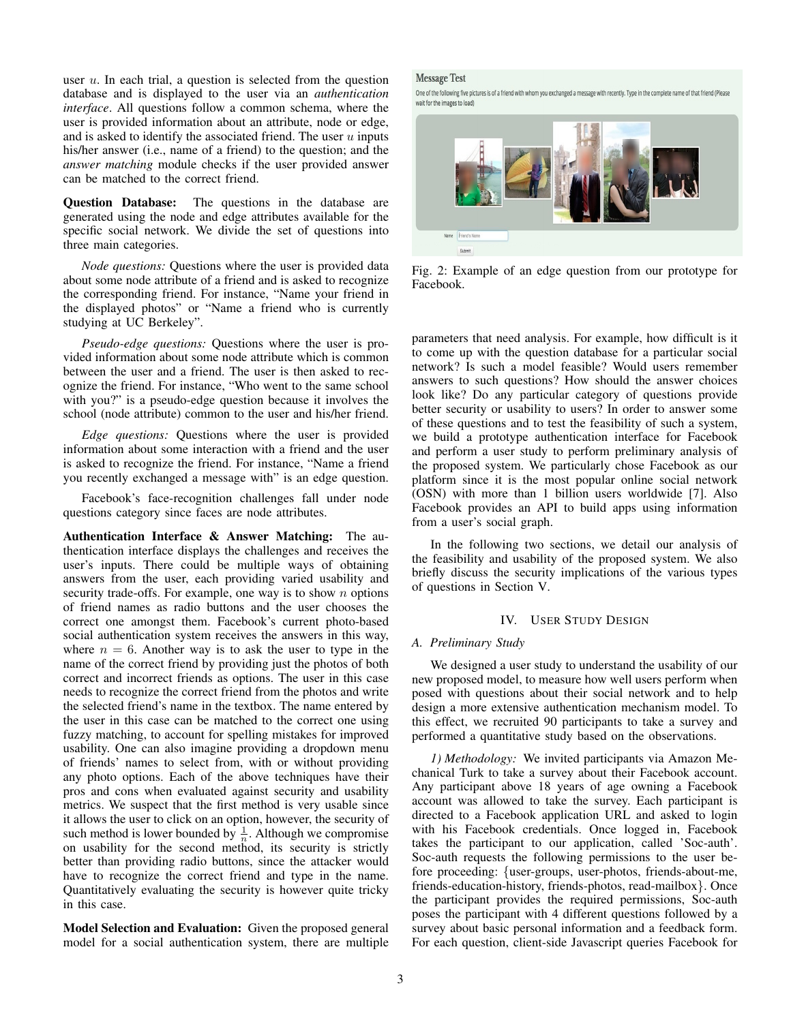user  $u$ . In each trial, a question is selected from the question database and is displayed to the user via an *authentication interface*. All questions follow a common schema, where the user is provided information about an attribute, node or edge, and is asked to identify the associated friend. The user  $u$  inputs his/her answer (i.e., name of a friend) to the question; and the *answer matching* module checks if the user provided answer can be matched to the correct friend.

Question Database: The questions in the database are generated using the node and edge attributes available for the specific social network. We divide the set of questions into three main categories.

*Node questions:* Questions where the user is provided data about some node attribute of a friend and is asked to recognize the corresponding friend. For instance, "Name your friend in the displayed photos" or "Name a friend who is currently studying at UC Berkeley".

*Pseudo-edge questions:* Questions where the user is provided information about some node attribute which is common between the user and a friend. The user is then asked to recognize the friend. For instance, "Who went to the same school with you?" is a pseudo-edge question because it involves the school (node attribute) common to the user and his/her friend.

*Edge questions:* Questions where the user is provided information about some interaction with a friend and the user is asked to recognize the friend. For instance, "Name a friend you recently exchanged a message with" is an edge question.

Facebook's face-recognition challenges fall under node questions category since faces are node attributes.

Authentication Interface & Answer Matching: The authentication interface displays the challenges and receives the user's inputs. There could be multiple ways of obtaining answers from the user, each providing varied usability and security trade-offs. For example, one way is to show  $n$  options of friend names as radio buttons and the user chooses the correct one amongst them. Facebook's current photo-based social authentication system receives the answers in this way, where  $n = 6$ . Another way is to ask the user to type in the name of the correct friend by providing just the photos of both correct and incorrect friends as options. The user in this case needs to recognize the correct friend from the photos and write the selected friend's name in the textbox. The name entered by the user in this case can be matched to the correct one using fuzzy matching, to account for spelling mistakes for improved usability. One can also imagine providing a dropdown menu of friends' names to select from, with or without providing any photo options. Each of the above techniques have their pros and cons when evaluated against security and usability metrics. We suspect that the first method is very usable since it allows the user to click on an option, however, the security of such method is lower bounded by  $\frac{1}{n}$ . Although we compromise on usability for the second method, its security is strictly better than providing radio buttons, since the attacker would have to recognize the correct friend and type in the name. Quantitatively evaluating the security is however quite tricky in this case.

Model Selection and Evaluation: Given the proposed general model for a social authentication system, there are multiple

# **Message Test**

One of the following five pictures is of a friend with whom you exchanged a message with recently. Type in the complete name of that friend (Please wait for the images to load)



Fig. 2: Example of an edge question from our prototype for Facebook.

parameters that need analysis. For example, how difficult is it to come up with the question database for a particular social network? Is such a model feasible? Would users remember answers to such questions? How should the answer choices look like? Do any particular category of questions provide better security or usability to users? In order to answer some of these questions and to test the feasibility of such a system, we build a prototype authentication interface for Facebook and perform a user study to perform preliminary analysis of the proposed system. We particularly chose Facebook as our platform since it is the most popular online social network (OSN) with more than 1 billion users worldwide [7]. Also Facebook provides an API to build apps using information from a user's social graph.

In the following two sections, we detail our analysis of the feasibility and usability of the proposed system. We also briefly discuss the security implications of the various types of questions in Section V.

# IV. USER STUDY DESIGN

## *A. Preliminary Study*

We designed a user study to understand the usability of our new proposed model, to measure how well users perform when posed with questions about their social network and to help design a more extensive authentication mechanism model. To this effect, we recruited 90 participants to take a survey and performed a quantitative study based on the observations.

*1) Methodology:* We invited participants via Amazon Mechanical Turk to take a survey about their Facebook account. Any participant above 18 years of age owning a Facebook account was allowed to take the survey. Each participant is directed to a Facebook application URL and asked to login with his Facebook credentials. Once logged in, Facebook takes the participant to our application, called 'Soc-auth'. Soc-auth requests the following permissions to the user before proceeding: {user-groups, user-photos, friends-about-me, friends-education-history, friends-photos, read-mailbox}. Once the participant provides the required permissions, Soc-auth poses the participant with 4 different questions followed by a survey about basic personal information and a feedback form. For each question, client-side Javascript queries Facebook for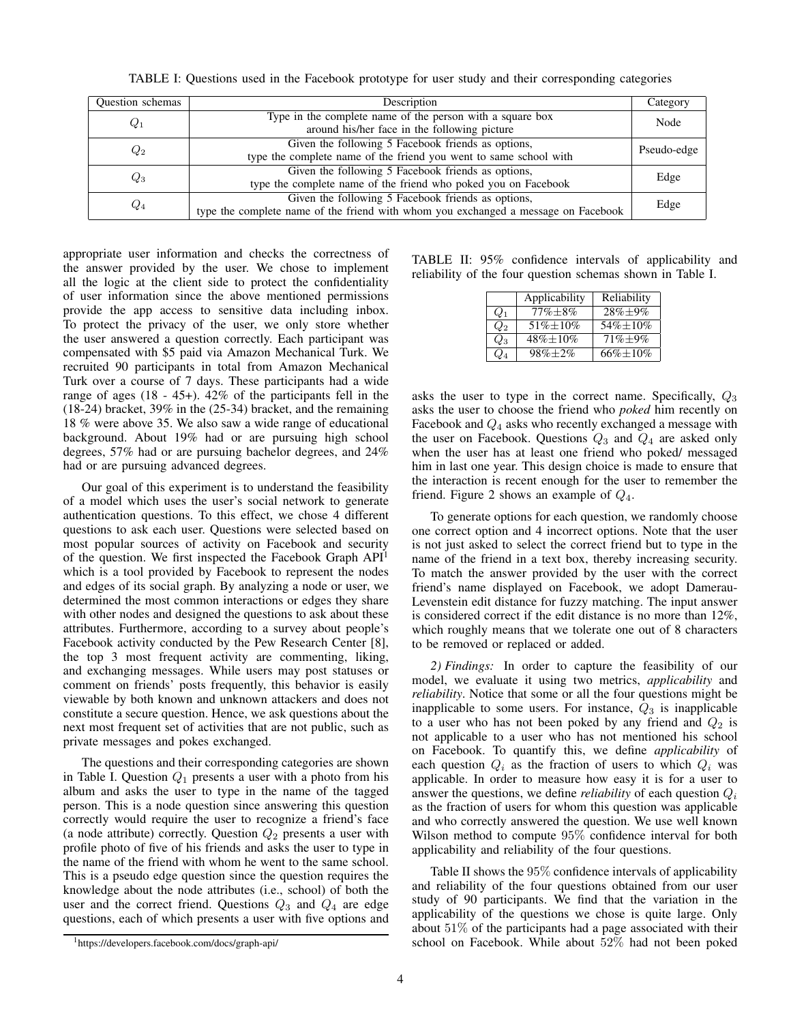| TABLE I: Questions used in the Facebook prototype for user study and their corresponding categories |  |  |  |  |
|-----------------------------------------------------------------------------------------------------|--|--|--|--|
|-----------------------------------------------------------------------------------------------------|--|--|--|--|

| <b>Ouestion</b> schemas | Description                                                                                                                              |             |  |  |
|-------------------------|------------------------------------------------------------------------------------------------------------------------------------------|-------------|--|--|
| $Q_1$                   | Type in the complete name of the person with a square box<br>around his/her face in the following picture                                | Node        |  |  |
| $Q_2$                   | Given the following 5 Facebook friends as options,<br>type the complete name of the friend you went to same school with                  | Pseudo-edge |  |  |
| $Q_3$                   | Given the following 5 Facebook friends as options,<br>type the complete name of the friend who poked you on Facebook                     | Edge        |  |  |
| $Q_4$                   | Given the following 5 Facebook friends as options,<br>type the complete name of the friend with whom you exchanged a message on Facebook | Edge        |  |  |

appropriate user information and checks the correctness of the answer provided by the user. We chose to implement all the logic at the client side to protect the confidentiality of user information since the above mentioned permissions provide the app access to sensitive data including inbox. To protect the privacy of the user, we only store whether the user answered a question correctly. Each participant was compensated with \$5 paid via Amazon Mechanical Turk. We recruited 90 participants in total from Amazon Mechanical Turk over a course of 7 days. These participants had a wide range of ages (18 - 45+). 42% of the participants fell in the (18-24) bracket, 39% in the (25-34) bracket, and the remaining 18 % were above 35. We also saw a wide range of educational background. About 19% had or are pursuing high school degrees, 57% had or are pursuing bachelor degrees, and 24% had or are pursuing advanced degrees.

Our goal of this experiment is to understand the feasibility of a model which uses the user's social network to generate authentication questions. To this effect, we chose 4 different questions to ask each user. Questions were selected based on most popular sources of activity on Facebook and security of the question. We first inspected the Facebook Graph API<sup>1</sup> which is a tool provided by Facebook to represent the nodes and edges of its social graph. By analyzing a node or user, we determined the most common interactions or edges they share with other nodes and designed the questions to ask about these attributes. Furthermore, according to a survey about people's Facebook activity conducted by the Pew Research Center [8], the top 3 most frequent activity are commenting, liking, and exchanging messages. While users may post statuses or comment on friends' posts frequently, this behavior is easily viewable by both known and unknown attackers and does not constitute a secure question. Hence, we ask questions about the next most frequent set of activities that are not public, such as private messages and pokes exchanged.

The questions and their corresponding categories are shown in Table I. Question  $Q_1$  presents a user with a photo from his album and asks the user to type in the name of the tagged person. This is a node question since answering this question correctly would require the user to recognize a friend's face (a node attribute) correctly. Question  $Q_2$  presents a user with profile photo of five of his friends and asks the user to type in the name of the friend with whom he went to the same school. This is a pseudo edge question since the question requires the knowledge about the node attributes (i.e., school) of both the user and the correct friend. Questions  $Q_3$  and  $Q_4$  are edge questions, each of which presents a user with five options and

| reliability of the four question schemas shown in Table I. |  |  |                                                                                                                                                                                                                                                                                                                     |  |  |  |  |
|------------------------------------------------------------|--|--|---------------------------------------------------------------------------------------------------------------------------------------------------------------------------------------------------------------------------------------------------------------------------------------------------------------------|--|--|--|--|
|                                                            |  |  | $\frac{1}{2}$ $\frac{1}{2}$ $\frac{1}{2}$ $\frac{1}{2}$ $\frac{1}{2}$ $\frac{1}{2}$ $\frac{1}{2}$ $\frac{1}{2}$ $\frac{1}{2}$ $\frac{1}{2}$ $\frac{1}{2}$ $\frac{1}{2}$ $\frac{1}{2}$ $\frac{1}{2}$ $\frac{1}{2}$ $\frac{1}{2}$ $\frac{1}{2}$ $\frac{1}{2}$ $\frac{1}{2}$ $\frac{1}{2}$ $\frac{1}{2}$ $\frac{1}{2}$ |  |  |  |  |

|       | Applicability | Reliability    |
|-------|---------------|----------------|
| $Q_1$ | $77\% + 8\%$  | $28\% \pm 9\%$ |
| $Q_2$ | $51\% + 10\%$ | 54%±10%        |
| $Q_3$ | 48%±10%       | $71\% + 9\%$   |
| $Q_4$ | $98\% + 2\%$  | $66\% + 10\%$  |

TABLE II: 95% confidence intervals of applicability and

asks the user to type in the correct name. Specifically,  $Q_3$ asks the user to choose the friend who *poked* him recently on Facebook and  $Q_4$  asks who recently exchanged a message with the user on Facebook. Questions  $Q_3$  and  $Q_4$  are asked only when the user has at least one friend who poked/ messaged him in last one year. This design choice is made to ensure that the interaction is recent enough for the user to remember the friend. Figure 2 shows an example of  $Q_4$ .

To generate options for each question, we randomly choose one correct option and 4 incorrect options. Note that the user is not just asked to select the correct friend but to type in the name of the friend in a text box, thereby increasing security. To match the answer provided by the user with the correct friend's name displayed on Facebook, we adopt Damerau-Levenstein edit distance for fuzzy matching. The input answer is considered correct if the edit distance is no more than 12%, which roughly means that we tolerate one out of 8 characters to be removed or replaced or added.

*2) Findings:* In order to capture the feasibility of our model, we evaluate it using two metrics, *applicability* and *reliability*. Notice that some or all the four questions might be inapplicable to some users. For instance,  $Q_3$  is inapplicable to a user who has not been poked by any friend and  $Q_2$  is not applicable to a user who has not mentioned his school on Facebook. To quantify this, we define *applicability* of each question  $Q_i$  as the fraction of users to which  $Q_i$  was applicable. In order to measure how easy it is for a user to answer the questions, we define *reliability* of each question  $Q_i$ as the fraction of users for whom this question was applicable and who correctly answered the question. We use well known Wilson method to compute 95% confidence interval for both applicability and reliability of the four questions.

Table II shows the 95% confidence intervals of applicability and reliability of the four questions obtained from our user study of 90 participants. We find that the variation in the applicability of the questions we chose is quite large. Only about 51% of the participants had a page associated with their school on Facebook. While about 52% had not been poked

<sup>1</sup>https://developers.facebook.com/docs/graph-api/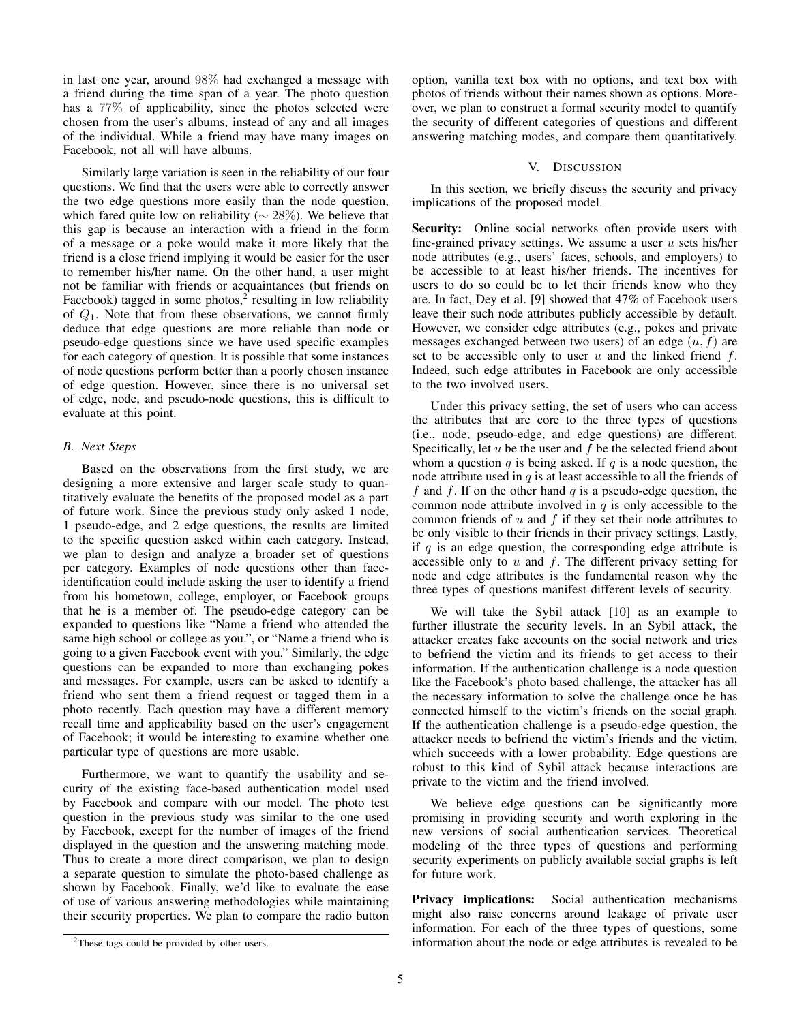in last one year, around 98% had exchanged a message with a friend during the time span of a year. The photo question has a 77% of applicability, since the photos selected were chosen from the user's albums, instead of any and all images of the individual. While a friend may have many images on Facebook, not all will have albums.

Similarly large variation is seen in the reliability of our four questions. We find that the users were able to correctly answer the two edge questions more easily than the node question, which fared quite low on reliability ( $\sim$  28%). We believe that this gap is because an interaction with a friend in the form of a message or a poke would make it more likely that the friend is a close friend implying it would be easier for the user to remember his/her name. On the other hand, a user might not be familiar with friends or acquaintances (but friends on Facebook) tagged in some photos, $2^{\degree}$  resulting in low reliability of  $Q_1$ . Note that from these observations, we cannot firmly deduce that edge questions are more reliable than node or pseudo-edge questions since we have used specific examples for each category of question. It is possible that some instances of node questions perform better than a poorly chosen instance of edge question. However, since there is no universal set of edge, node, and pseudo-node questions, this is difficult to evaluate at this point.

# *B. Next Steps*

Based on the observations from the first study, we are designing a more extensive and larger scale study to quantitatively evaluate the benefits of the proposed model as a part of future work. Since the previous study only asked 1 node, 1 pseudo-edge, and 2 edge questions, the results are limited to the specific question asked within each category. Instead, we plan to design and analyze a broader set of questions per category. Examples of node questions other than faceidentification could include asking the user to identify a friend from his hometown, college, employer, or Facebook groups that he is a member of. The pseudo-edge category can be expanded to questions like "Name a friend who attended the same high school or college as you.", or "Name a friend who is going to a given Facebook event with you." Similarly, the edge questions can be expanded to more than exchanging pokes and messages. For example, users can be asked to identify a friend who sent them a friend request or tagged them in a photo recently. Each question may have a different memory recall time and applicability based on the user's engagement of Facebook; it would be interesting to examine whether one particular type of questions are more usable.

Furthermore, we want to quantify the usability and security of the existing face-based authentication model used by Facebook and compare with our model. The photo test question in the previous study was similar to the one used by Facebook, except for the number of images of the friend displayed in the question and the answering matching mode. Thus to create a more direct comparison, we plan to design a separate question to simulate the photo-based challenge as shown by Facebook. Finally, we'd like to evaluate the ease of use of various answering methodologies while maintaining their security properties. We plan to compare the radio button option, vanilla text box with no options, and text box with photos of friends without their names shown as options. Moreover, we plan to construct a formal security model to quantify the security of different categories of questions and different answering matching modes, and compare them quantitatively.

# V. DISCUSSION

In this section, we briefly discuss the security and privacy implications of the proposed model.

Security: Online social networks often provide users with fine-grained privacy settings. We assume a user  $u$  sets his/her node attributes (e.g., users' faces, schools, and employers) to be accessible to at least his/her friends. The incentives for users to do so could be to let their friends know who they are. In fact, Dey et al. [9] showed that 47% of Facebook users leave their such node attributes publicly accessible by default. However, we consider edge attributes (e.g., pokes and private messages exchanged between two users) of an edge  $(u, f)$  are set to be accessible only to user  $u$  and the linked friend  $f$ . Indeed, such edge attributes in Facebook are only accessible to the two involved users.

Under this privacy setting, the set of users who can access the attributes that are core to the three types of questions (i.e., node, pseudo-edge, and edge questions) are different. Specifically, let  $u$  be the user and  $f$  be the selected friend about whom a question  $q$  is being asked. If  $q$  is a node question, the node attribute used in  $q$  is at least accessible to all the friends of f and f. If on the other hand  $q$  is a pseudo-edge question, the common node attribute involved in  $q$  is only accessible to the common friends of  $u$  and  $f$  if they set their node attributes to be only visible to their friends in their privacy settings. Lastly, if  $q$  is an edge question, the corresponding edge attribute is accessible only to  $u$  and  $f$ . The different privacy setting for node and edge attributes is the fundamental reason why the three types of questions manifest different levels of security.

We will take the Sybil attack [10] as an example to further illustrate the security levels. In an Sybil attack, the attacker creates fake accounts on the social network and tries to befriend the victim and its friends to get access to their information. If the authentication challenge is a node question like the Facebook's photo based challenge, the attacker has all the necessary information to solve the challenge once he has connected himself to the victim's friends on the social graph. If the authentication challenge is a pseudo-edge question, the attacker needs to befriend the victim's friends and the victim, which succeeds with a lower probability. Edge questions are robust to this kind of Sybil attack because interactions are private to the victim and the friend involved.

We believe edge questions can be significantly more promising in providing security and worth exploring in the new versions of social authentication services. Theoretical modeling of the three types of questions and performing security experiments on publicly available social graphs is left for future work.

Privacy implications: Social authentication mechanisms might also raise concerns around leakage of private user information. For each of the three types of questions, some information about the node or edge attributes is revealed to be

<sup>2</sup>These tags could be provided by other users.